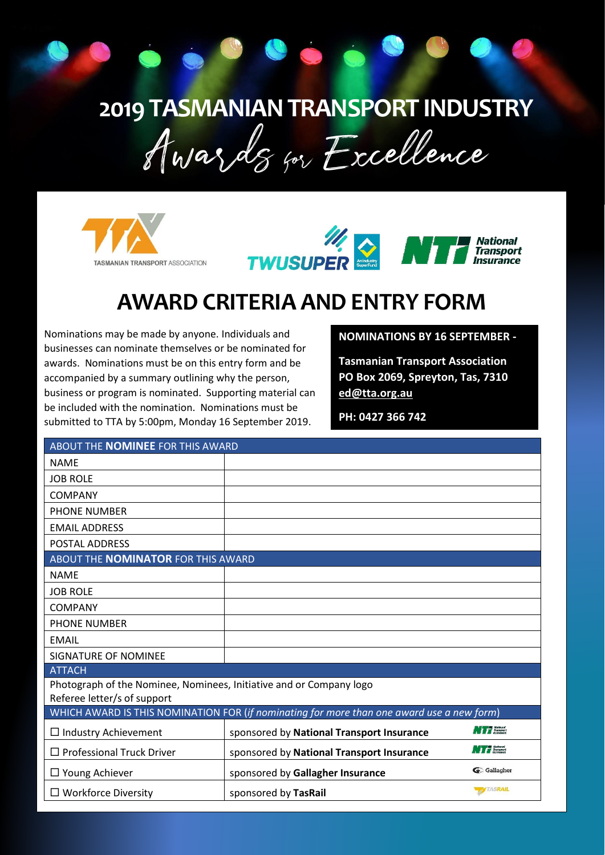# **2019 TASMANIAN TRANSPORT INDUSTRY**





# **AWARD CRITERIA AND ENTRY FORM**

Nominations may be made by anyone. Individuals and businesses can nominate themselves or be nominated for awards. Nominations must be on this entry form and be accompanied by a summary outlining why the person, business or program is nominated. Supporting material can be included with the nomination. Nominations must be submitted to TTA by 5:00pm, Monday 16 September 2019.

## **NOMINATIONS BY 16 SEPTEMBER -**

**Tasmanian Transport Association PO Box 2069, Spreyton, Tas, 7310 [ed@tta.org.au](mailto:ed@tta.org.au)**

**PH: 0427 366 742**

| ABOUT THE NOMINEE FOR THIS AWARD                                                          |                                           |                     |
|-------------------------------------------------------------------------------------------|-------------------------------------------|---------------------|
| <b>NAME</b>                                                                               |                                           |                     |
| <b>JOB ROLE</b>                                                                           |                                           |                     |
| <b>COMPANY</b>                                                                            |                                           |                     |
| <b>PHONE NUMBER</b>                                                                       |                                           |                     |
| <b>EMAIL ADDRESS</b>                                                                      |                                           |                     |
| <b>POSTAL ADDRESS</b>                                                                     |                                           |                     |
| ABOUT THE <b>NOMINATOR</b> FOR THIS AWARD                                                 |                                           |                     |
| <b>NAME</b>                                                                               |                                           |                     |
| <b>JOB ROLE</b>                                                                           |                                           |                     |
| <b>COMPANY</b>                                                                            |                                           |                     |
| <b>PHONE NUMBER</b>                                                                       |                                           |                     |
| EMAIL                                                                                     |                                           |                     |
| <b>SIGNATURE OF NOMINEE</b>                                                               |                                           |                     |
| <b>ATTACH</b>                                                                             |                                           |                     |
| Photograph of the Nominee, Nominees, Initiative and or Company logo                       |                                           |                     |
| Referee letter/s of support                                                               |                                           |                     |
| WHICH AWARD IS THIS NOMINATION FOR (if nominating for more than one award use a new form) |                                           |                     |
| $\Box$ Industry Achievement                                                               | sponsored by National Transport Insurance | <b>NTT</b> National |
| $\Box$ Professional Truck Driver                                                          | sponsored by National Transport Insurance | <b>NTT</b> Mathonal |
| $\Box$ Young Achiever                                                                     | sponsored by Gallagher Insurance          | G Gallagher         |
| $\Box$ Workforce Diversity                                                                | sponsored by TasRail                      | <b>ATASRAIL</b>     |